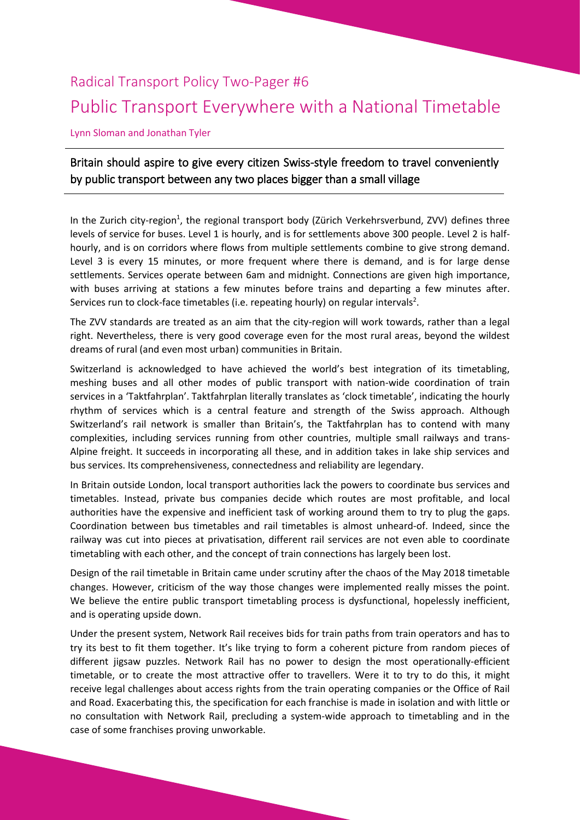## Radical Transport Policy Two-Pager #6 Public Transport Everywhere with a National Timetable

Lynn Sloman and Jonathan Tyler

## Britain should aspire to give every citizen Swiss-style freedom to travel conveniently by public transport between any two places bigger than a small village

In the Zurich city-region<sup>1</sup>, the regional transport body (Zürich Verkehrsverbund, ZVV) defines three levels of service for buses. Level 1 is hourly, and is for settlements above 300 people. Level 2 is halfhourly, and is on corridors where flows from multiple settlements combine to give strong demand. Level 3 is every 15 minutes, or more frequent where there is demand, and is for large dense settlements. Services operate between 6am and midnight. Connections are given high importance, with buses arriving at stations a few minutes before trains and departing a few minutes after. Services run to clock-face timetables (i.e. repeating hourly) on regular intervals<sup>2</sup>.

The ZVV standards are treated as an aim that the city-region will work towards, rather than a legal right. Nevertheless, there is very good coverage even for the most rural areas, beyond the wildest dreams of rural (and even most urban) communities in Britain.

Switzerland is acknowledged to have achieved the world's best integration of its timetabling, meshing buses and all other modes of public transport with nation-wide coordination of train services in a 'Taktfahrplan'. Taktfahrplan literally translates as 'clock timetable', indicating the hourly rhythm of services which is a central feature and strength of the Swiss approach. Although Switzerland's rail network is smaller than Britain's, the Taktfahrplan has to contend with many complexities, including services running from other countries, multiple small railways and trans-Alpine freight. It succeeds in incorporating all these, and in addition takes in lake ship services and bus services. Its comprehensiveness, connectedness and reliability are legendary.

In Britain outside London, local transport authorities lack the powers to coordinate bus services and timetables. Instead, private bus companies decide which routes are most profitable, and local authorities have the expensive and inefficient task of working around them to try to plug the gaps. Coordination between bus timetables and rail timetables is almost unheard-of. Indeed, since the railway was cut into pieces at privatisation, different rail services are not even able to coordinate timetabling with each other, and the concept of train connections has largely been lost.

Design of the rail timetable in Britain came under scrutiny after the chaos of the May 2018 timetable changes. However, criticism of the way those changes were implemented really misses the point. We believe the entire public transport timetabling process is dysfunctional, hopelessly inefficient, and is operating upside down.

Under the present system, Network Rail receives bids for train paths from train operators and has to try its best to fit them together. It's like trying to form a coherent picture from random pieces of different jigsaw puzzles. Network Rail has no power to design the most operationally-efficient timetable, or to create the most attractive offer to travellers. Were it to try to do this, it might receive legal challenges about access rights from the train operating companies or the Office of Rail and Road. Exacerbating this, the specification for each franchise is made in isolation and with little or no consultation with Network Rail, precluding a system-wide approach to timetabling and in the case of some franchises proving unworkable.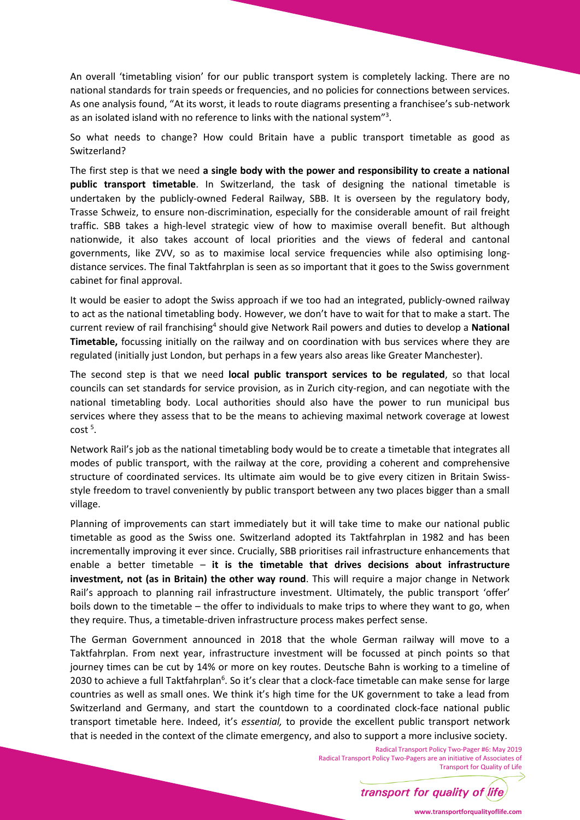An overall 'timetabling vision' for our public transport system is completely lacking. There are no national standards for train speeds or frequencies, and no policies for connections between services. As one analysis found, "At its worst, it leads to route diagrams presenting a franchisee's sub-network as an isolated island with no reference to links with the national system"<sup>3</sup>.

So what needs to change? How could Britain have a public transport timetable as good as Switzerland?

The first step is that we need **a single body with the power and responsibility to create a national public transport timetable**. In Switzerland, the task of designing the national timetable is undertaken by the publicly-owned Federal Railway, SBB. It is overseen by the regulatory body, Trasse Schweiz, to ensure non-discrimination, especially for the considerable amount of rail freight traffic. SBB takes a high-level strategic view of how to maximise overall benefit. But although nationwide, it also takes account of local priorities and the views of federal and cantonal governments, like ZVV, so as to maximise local service frequencies while also optimising longdistance services. The final Taktfahrplan is seen as so important that it goes to the Swiss government cabinet for final approval.

It would be easier to adopt the Swiss approach if we too had an integrated, publicly-owned railway to act as the national timetabling body. However, we don't have to wait for that to make a start. The current review of rail franchising<sup>4</sup> should give Network Rail powers and duties to develop a National **Timetable,** focussing initially on the railway and on coordination with bus services where they are regulated (initially just London, but perhaps in a few years also areas like Greater Manchester).

The second step is that we need **local public transport services to be regulated**, so that local councils can set standards for service provision, as in Zurich city-region, and can negotiate with the national timetabling body. Local authorities should also have the power to run municipal bus services where they assess that to be the means to achieving maximal network coverage at lowest  $cost<sup>5</sup>$ .

Network Rail's job as the national timetabling body would be to create a timetable that integrates all modes of public transport, with the railway at the core, providing a coherent and comprehensive structure of coordinated services. Its ultimate aim would be to give every citizen in Britain Swissstyle freedom to travel conveniently by public transport between any two places bigger than a small village.

Planning of improvements can start immediately but it will take time to make our national public timetable as good as the Swiss one. Switzerland adopted its Taktfahrplan in 1982 and has been incrementally improving it ever since. Crucially, SBB prioritises rail infrastructure enhancements that enable a better timetable – **it is the timetable that drives decisions about infrastructure investment, not (as in Britain) the other way round**. This will require a major change in Network Rail's approach to planning rail infrastructure investment. Ultimately, the public transport 'offer' boils down to the timetable – the offer to individuals to make trips to where they want to go, when they require. Thus, a timetable-driven infrastructure process makes perfect sense.

The German Government announced in 2018 that the whole German railway will move to a Taktfahrplan. From next year, infrastructure investment will be focussed at pinch points so that journey times can be cut by 14% or more on key routes. Deutsche Bahn is working to a timeline of 2030 to achieve a full Taktfahrplan<sup>6</sup>. So it's clear that a clock-face timetable can make sense for large countries as well as small ones. We think it's high time for the UK government to take a lead from Switzerland and Germany, and start the countdown to a coordinated clock-face national public transport timetable here. Indeed, it's *essential,* to provide the excellent public transport network that is needed in the context of the climate emergency, and also to support a more inclusive society.

> Radical Transport Policy Two-Pager #6: May 2019 Radical Transport Policy Two-Pagers are an initiative of Associates of Transport for Quality of Life



**www.transportforqualityoflife.com**